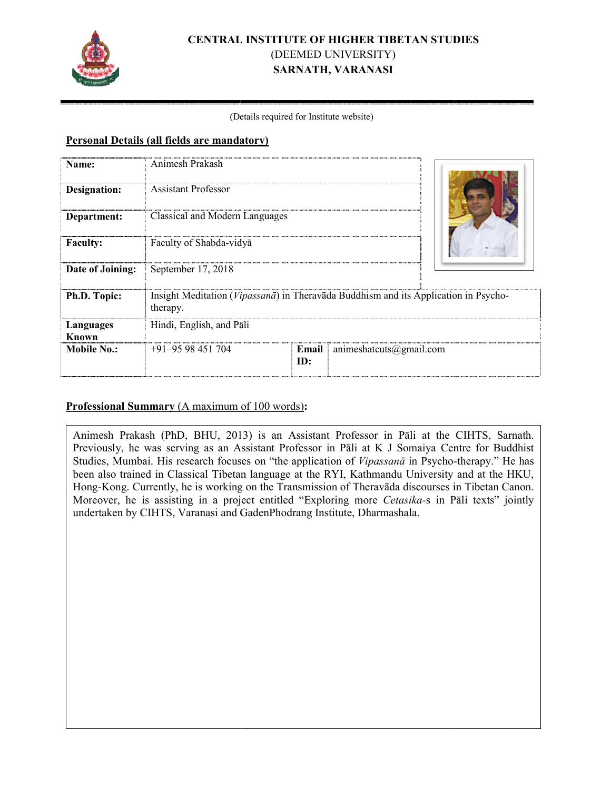

# **CENTRAL I RAL INSTITUTE OF HIGHER TIBETAN STUDI TUDIES**  (DEEMED UNIVERSITY) **SARNATH, VARANASI**

#### (Det (Details required for Institute website)

### **Personal Details (all fields are mandatory)**

| Name:               | Animesh Prakash                                                                                 |              |                         |  |
|---------------------|-------------------------------------------------------------------------------------------------|--------------|-------------------------|--|
| <b>Designation:</b> | <b>Assistant Professor</b>                                                                      |              |                         |  |
| Department:         | Classical and Modern Languages                                                                  |              |                         |  |
| <b>Faculty:</b>     | Faculty of Shabda-vidya                                                                         |              |                         |  |
| Date of Joining:    | September 17, 2018                                                                              |              |                         |  |
| Ph.D. Topic:        | Insight Meditation (Vipassanā) in Theravāda Buddhism and its Application in Psycho-<br>therapy. |              |                         |  |
| Languages<br>Known  | Hindi, English, and Pāli                                                                        |              |                         |  |
| <b>Mobile No.:</b>  | $+91-9598451704$                                                                                | Email<br>ID: | animeshateurs@gmail.com |  |

## **Professional Summary** (A maximum of 100 words):

Animesh Prakash (PhD, BHU, 2013 2013) is an Assistant Professor in Pāli at the C CIHTS, Sarnath. Previously, he was serving as an Assistant Professor in Pāli at K J Somaiya Centre for Buddhist Studies, Mumbai. His research focuses on "the application of *Vipassanā* in Psycho-therapy." He has been also trained in Classical Tibetan language at the RYI, Kathmandu University and at the HKU, Hong-Kong. Currently, he is working on the Transmission of Theravāda discourses in Tibetan Canon. Moreover, he is assisting in a project entitled "Exploring more *Cetasika*-s in Pāli texts" jointly undertaken by CIHTS, Varanasi and G GadenPhodrang Institute, Dharmashala.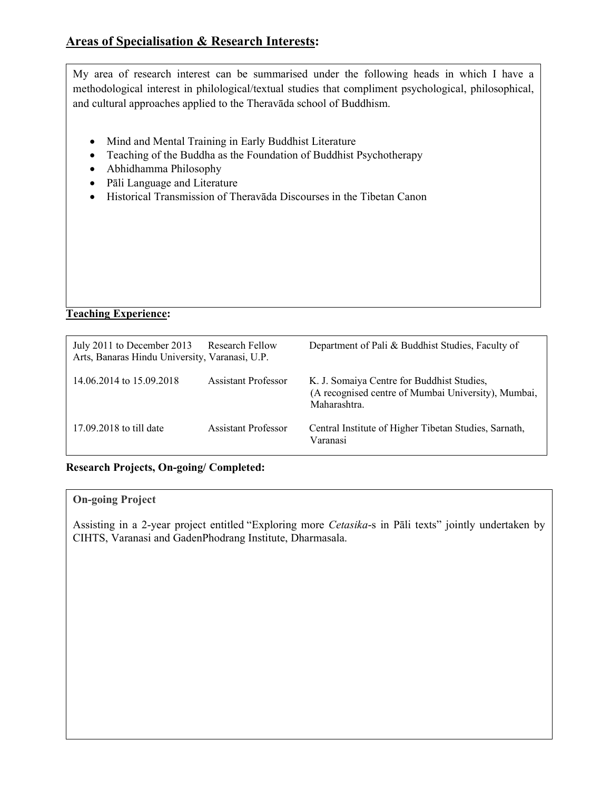My area of research interest can be summarised under the following heads in which I have a methodological interest in philological/textual studies that compliment psychological, philosophical, and cultural approaches applied to the Theravāda school of Buddhism.

- Mind and Mental Training in Early Buddhist Literature
- Teaching of the Buddha as the Foundation of Buddhist Psychotherapy
- Abhidhamma Philosophy
- Pāli Language and Literature
- Historical Transmission of Theravāda Discourses in the Tibetan Canon

**Teaching Experience:** 

| July 2011 to December 2013<br>Arts, Banaras Hindu University, Varanasi, U.P. | Research Fellow     | Department of Pali & Buddhist Studies, Faculty of                                                                |
|------------------------------------------------------------------------------|---------------------|------------------------------------------------------------------------------------------------------------------|
| 14.06.2014 to 15.09.2018                                                     | Assistant Professor | K. J. Somaiya Centre for Buddhist Studies,<br>(A recognised centre of Mumbai University), Mumbai,<br>Maharashtra |
| 17.09.2018 to till date                                                      | Assistant Professor | Central Institute of Higher Tibetan Studies, Sarnath,<br>Varanasi                                                |

**Research Projects, On-going/ Completed:** 

#### **On-going Project**

**Publications:** 

Assisting in a 2-year project entitled "Exploring more *Cetasika*-s in Pāli texts" jointly undertaken by CIHTS, Varanasi and GadenPhodrang Institute, Dharmasala.